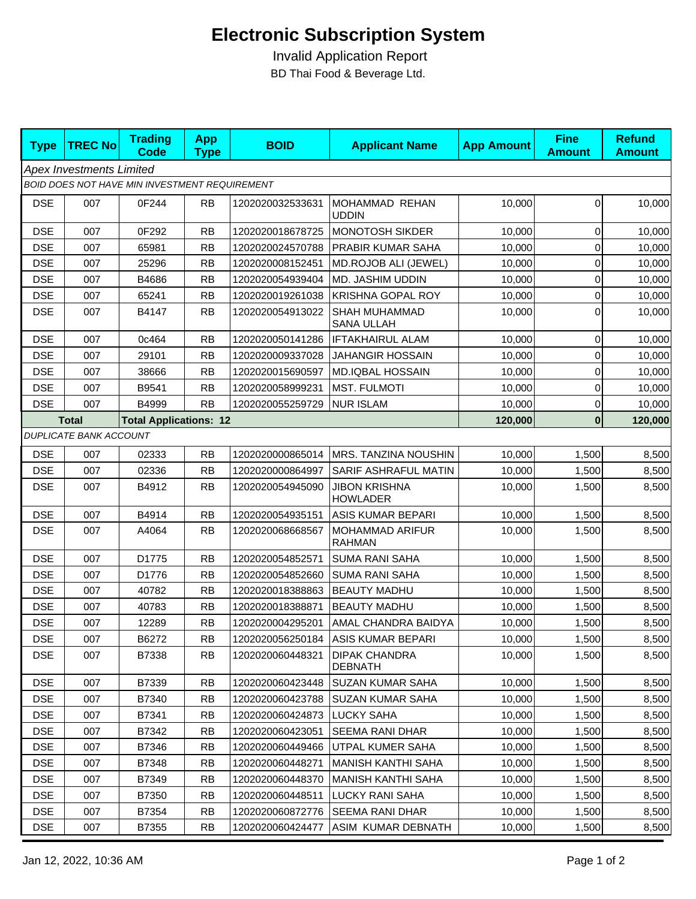## **Electronic Subscription System**

 Invalid Application Report BD Thai Food & Beverage Ltd.

| <b>Type</b>                                   | <b>TREC No</b>                | <b>Trading</b><br><b>Code</b> | <b>App</b><br><b>Type</b> | <b>BOID</b>      | <b>Applicant Name</b>                     | <b>App Amount</b> | <b>Fine</b><br><b>Amount</b> | <b>Refund</b><br><b>Amount</b> |  |  |  |
|-----------------------------------------------|-------------------------------|-------------------------------|---------------------------|------------------|-------------------------------------------|-------------------|------------------------------|--------------------------------|--|--|--|
| <b>Apex Investments Limited</b>               |                               |                               |                           |                  |                                           |                   |                              |                                |  |  |  |
| BOID DOES NOT HAVE MIN INVESTMENT REQUIREMENT |                               |                               |                           |                  |                                           |                   |                              |                                |  |  |  |
| <b>DSE</b>                                    | 007                           | 0F244                         | RB                        | 1202020032533631 | MOHAMMAD REHAN<br><b>UDDIN</b>            | 10,000            | 0                            | 10,000                         |  |  |  |
| <b>DSE</b>                                    | 007                           | 0F292                         | <b>RB</b>                 | 1202020018678725 | MONOTOSH SIKDER                           | 10,000            | $\overline{0}$               | 10,000                         |  |  |  |
| <b>DSE</b>                                    | 007                           | 65981                         | <b>RB</b>                 | 1202020024570788 | PRABIR KUMAR SAHA                         | 10,000            | $\mathbf 0$                  | 10,000                         |  |  |  |
| <b>DSE</b>                                    | 007                           | 25296                         | <b>RB</b>                 | 1202020008152451 | MD.ROJOB ALI (JEWEL)                      | 10,000            | $\overline{0}$               | 10,000                         |  |  |  |
| <b>DSE</b>                                    | 007                           | B4686                         | <b>RB</b>                 | 1202020054939404 | MD. JASHIM UDDIN                          | 10,000            | $\overline{0}$               | 10,000                         |  |  |  |
| <b>DSE</b>                                    | 007                           | 65241                         | <b>RB</b>                 | 1202020019261038 | <b>KRISHNA GOPAL ROY</b>                  | 10,000            | $\overline{0}$               | 10,000                         |  |  |  |
| <b>DSE</b>                                    | 007                           | B4147                         | <b>RB</b>                 | 1202020054913022 | <b>SHAH MUHAMMAD</b><br><b>SANA ULLAH</b> | 10,000            | $\overline{0}$               | 10,000                         |  |  |  |
| <b>DSE</b>                                    | 007                           | 0c464                         | <b>RB</b>                 | 1202020050141286 | <b>IFTAKHAIRUL ALAM</b>                   | 10,000            | $\overline{0}$               | 10,000                         |  |  |  |
| <b>DSE</b>                                    | 007                           | 29101                         | <b>RB</b>                 | 1202020009337028 | <b>JAHANGIR HOSSAIN</b>                   | 10,000            | $\overline{0}$               | 10,000                         |  |  |  |
| <b>DSE</b>                                    | 007                           | 38666                         | <b>RB</b>                 | 1202020015690597 | <b>MD.IQBAL HOSSAIN</b>                   | 10,000            | 0                            | 10,000                         |  |  |  |
| <b>DSE</b>                                    | 007                           | B9541                         | <b>RB</b>                 | 1202020058999231 | <b>MST. FULMOTI</b>                       | 10,000            | 0                            | 10,000                         |  |  |  |
| <b>DSE</b>                                    | 007                           | B4999                         | <b>RB</b>                 | 1202020055259729 | <b>NUR ISLAM</b>                          | 10,000            | $\overline{0}$               | 10,000                         |  |  |  |
| <b>Total</b><br><b>Total Applications: 12</b> |                               |                               |                           |                  |                                           | 120,000           | $\boldsymbol{0}$             | 120,000                        |  |  |  |
|                                               | <b>DUPLICATE BANK ACCOUNT</b> |                               |                           |                  |                                           |                   |                              |                                |  |  |  |
| <b>DSE</b>                                    | 007                           | 02333                         | <b>RB</b>                 | 1202020000865014 | MRS. TANZINA NOUSHIN                      | 10,000            | 1,500                        | 8,500                          |  |  |  |
| <b>DSE</b>                                    | 007                           | 02336                         | <b>RB</b>                 | 1202020000864997 | SARIF ASHRAFUL MATIN                      | 10,000            | 1,500                        | 8,500                          |  |  |  |
| <b>DSE</b>                                    | 007                           | B4912                         | <b>RB</b>                 | 1202020054945090 | <b>JIBON KRISHNA</b><br><b>HOWLADER</b>   | 10,000            | 1,500                        | 8,500                          |  |  |  |
| <b>DSE</b>                                    | 007                           | B4914                         | <b>RB</b>                 | 1202020054935151 | ASIS KUMAR BEPARI                         | 10,000            | 1,500                        | 8,500                          |  |  |  |
| <b>DSE</b>                                    | 007                           | A4064                         | <b>RB</b>                 | 1202020068668567 | MOHAMMAD ARIFUR<br><b>RAHMAN</b>          | 10,000            | 1,500                        | 8,500                          |  |  |  |
| <b>DSE</b>                                    | 007                           | D1775                         | <b>RB</b>                 | 1202020054852571 | <b>SUMA RANI SAHA</b>                     | 10,000            | 1,500                        | 8,500                          |  |  |  |
| <b>DSE</b>                                    | 007                           | D1776                         | <b>RB</b>                 | 1202020054852660 | <b>SUMA RANI SAHA</b>                     | 10,000            | 1,500                        | 8,500                          |  |  |  |
| <b>DSE</b>                                    | 007                           | 40782                         | <b>RB</b>                 | 1202020018388863 | <b>BEAUTY MADHU</b>                       | 10,000            | 1,500                        | 8,500                          |  |  |  |
| <b>DSE</b>                                    | 007                           | 40783                         | <b>RB</b>                 | 1202020018388871 | <b>BEAUTY MADHU</b>                       | 10,000            | 1,500                        | 8,500                          |  |  |  |
| <b>DSE</b>                                    | 007                           | 12289                         | <b>RB</b>                 | 1202020004295201 | AMAL CHANDRA BAIDYA                       | 10,000            | 1,500                        | 8,500                          |  |  |  |
| <b>DSE</b>                                    | 007                           | B6272                         | <b>RB</b>                 |                  | 1202020056250184   ASIS KUMAR BEPARI      | 10,000            | 1,500                        | 8,500                          |  |  |  |
| <b>DSE</b>                                    | 007                           | B7338                         | <b>RB</b>                 | 1202020060448321 | <b>DIPAK CHANDRA</b><br><b>DEBNATH</b>    | 10.000            | 1,500                        | 8,500                          |  |  |  |
| <b>DSE</b>                                    | 007                           | B7339                         | <b>RB</b>                 | 1202020060423448 | SUZAN KUMAR SAHA                          | 10,000            | 1,500                        | 8,500                          |  |  |  |
| <b>DSE</b>                                    | 007                           | B7340                         | <b>RB</b>                 | 1202020060423788 | <b>SUZAN KUMAR SAHA</b>                   | 10,000            | 1,500                        | 8,500                          |  |  |  |
| <b>DSE</b>                                    | 007                           | B7341                         | <b>RB</b>                 | 1202020060424873 | <b>LUCKY SAHA</b>                         | 10,000            | 1,500                        | 8,500                          |  |  |  |
| <b>DSE</b>                                    | 007                           | B7342                         | <b>RB</b>                 | 1202020060423051 | <b>SEEMA RANI DHAR</b>                    | 10,000            | 1,500                        | 8,500                          |  |  |  |
| <b>DSE</b>                                    | 007                           | B7346                         | <b>RB</b>                 | 1202020060449466 | UTPAL KUMER SAHA                          | 10,000            | 1,500                        | 8,500                          |  |  |  |
| <b>DSE</b>                                    | 007                           | B7348                         | <b>RB</b>                 | 1202020060448271 | <b>MANISH KANTHI SAHA</b>                 | 10,000            | 1,500                        | 8,500                          |  |  |  |
| <b>DSE</b>                                    | 007                           | B7349                         | <b>RB</b>                 | 1202020060448370 | <b>MANISH KANTHI SAHA</b>                 | 10,000            | 1,500                        | 8,500                          |  |  |  |
| <b>DSE</b>                                    | 007                           | B7350                         | <b>RB</b>                 | 1202020060448511 | LUCKY RANI SAHA                           | 10,000            | 1,500                        | 8,500                          |  |  |  |
| <b>DSE</b>                                    | 007                           | B7354                         | <b>RB</b>                 | 1202020060872776 | <b>SEEMA RANI DHAR</b>                    | 10,000            | 1,500                        | 8,500                          |  |  |  |
| <b>DSE</b>                                    | 007                           | B7355                         | <b>RB</b>                 | 1202020060424477 | ASIM KUMAR DEBNATH                        | 10,000            | 1,500                        | 8,500                          |  |  |  |